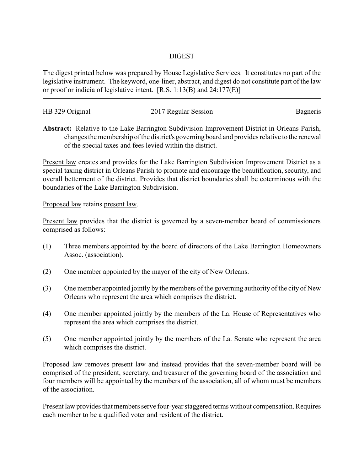## DIGEST

The digest printed below was prepared by House Legislative Services. It constitutes no part of the legislative instrument. The keyword, one-liner, abstract, and digest do not constitute part of the law or proof or indicia of legislative intent. [R.S. 1:13(B) and 24:177(E)]

| HB 329 Original | 2017 Regular Session | Bagneris |
|-----------------|----------------------|----------|
|                 |                      |          |

**Abstract:** Relative to the Lake Barrington Subdivision Improvement District in Orleans Parish, changes the membership of the district's governing board and provides relative to the renewal of the special taxes and fees levied within the district.

Present law creates and provides for the Lake Barrington Subdivision Improvement District as a special taxing district in Orleans Parish to promote and encourage the beautification, security, and overall betterment of the district. Provides that district boundaries shall be coterminous with the boundaries of the Lake Barrington Subdivision.

## Proposed law retains present law.

Present law provides that the district is governed by a seven-member board of commissioners comprised as follows:

- (1) Three members appointed by the board of directors of the Lake Barrington Homeowners Assoc. (association).
- (2) One member appointed by the mayor of the city of New Orleans.
- (3) One member appointed jointly by the members of the governing authority of the city of New Orleans who represent the area which comprises the district.
- (4) One member appointed jointly by the members of the La. House of Representatives who represent the area which comprises the district.
- (5) One member appointed jointly by the members of the La. Senate who represent the area which comprises the district.

Proposed law removes present law and instead provides that the seven-member board will be comprised of the president, secretary, and treasurer of the governing board of the association and four members will be appointed by the members of the association, all of whom must be members of the association.

Present law provides that members serve four-year staggered terms without compensation. Requires each member to be a qualified voter and resident of the district.